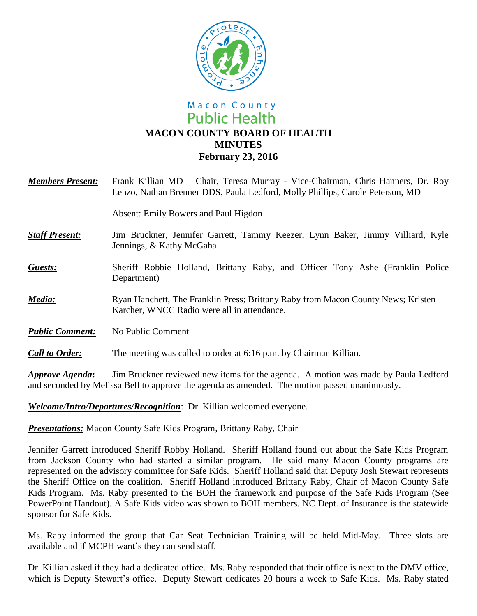

# Macon County **Public Health MACON COUNTY BOARD OF HEALTH MINUTES February 23, 2016**

| <b>Members Present:</b> | Frank Killian MD - Chair, Teresa Murray - Vice-Chairman, Chris Hanners, Dr. Roy<br>Lenzo, Nathan Brenner DDS, Paula Ledford, Molly Phillips, Carole Peterson, MD |
|-------------------------|------------------------------------------------------------------------------------------------------------------------------------------------------------------|
|                         | Absent: Emily Bowers and Paul Higdon                                                                                                                             |
| <b>Staff Present:</b>   | Jim Bruckner, Jennifer Garrett, Tammy Keezer, Lynn Baker, Jimmy Villiard, Kyle<br>Jennings, & Kathy McGaha                                                       |
| <b>Guests:</b>          | Sheriff Robbie Holland, Brittany Raby, and Officer Tony Ashe (Franklin Police<br>Department)                                                                     |
| Media:                  | Ryan Hanchett, The Franklin Press; Brittany Raby from Macon County News; Kristen<br>Karcher, WNCC Radio were all in attendance.                                  |
| <b>Public Comment:</b>  | No Public Comment                                                                                                                                                |
| <b>Call to Order:</b>   | The meeting was called to order at 6:16 p.m. by Chairman Killian.                                                                                                |

*Approve Agenda***:** Jim Bruckner reviewed new items for the agenda. A motion was made by Paula Ledford and seconded by Melissa Bell to approve the agenda as amended. The motion passed unanimously.

*Welcome/Intro/Departures/Recognition*: Dr. Killian welcomed everyone.

*Presentations:* Macon County Safe Kids Program, Brittany Raby, Chair

Jennifer Garrett introduced Sheriff Robby Holland. Sheriff Holland found out about the Safe Kids Program from Jackson County who had started a similar program. He said many Macon County programs are represented on the advisory committee for Safe Kids. Sheriff Holland said that Deputy Josh Stewart represents the Sheriff Office on the coalition. Sheriff Holland introduced Brittany Raby, Chair of Macon County Safe Kids Program. Ms. Raby presented to the BOH the framework and purpose of the Safe Kids Program (See PowerPoint Handout). A Safe Kids video was shown to BOH members. NC Dept. of Insurance is the statewide sponsor for Safe Kids.

Ms. Raby informed the group that Car Seat Technician Training will be held Mid-May. Three slots are available and if MCPH want's they can send staff.

Dr. Killian asked if they had a dedicated office. Ms. Raby responded that their office is next to the DMV office, which is Deputy Stewart's office. Deputy Stewart dedicates 20 hours a week to Safe Kids. Ms. Raby stated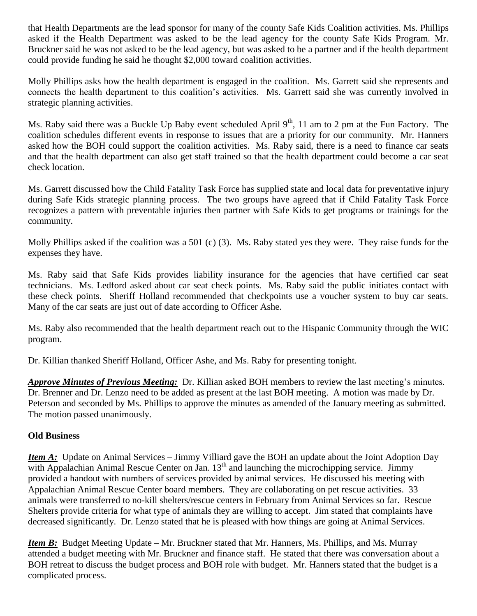that Health Departments are the lead sponsor for many of the county Safe Kids Coalition activities. Ms. Phillips asked if the Health Department was asked to be the lead agency for the county Safe Kids Program. Mr. Bruckner said he was not asked to be the lead agency, but was asked to be a partner and if the health department could provide funding he said he thought \$2,000 toward coalition activities.

Molly Phillips asks how the health department is engaged in the coalition. Ms. Garrett said she represents and connects the health department to this coalition's activities. Ms. Garrett said she was currently involved in strategic planning activities.

Ms. Raby said there was a Buckle Up Baby event scheduled April 9<sup>th</sup>, 11 am to 2 pm at the Fun Factory. The coalition schedules different events in response to issues that are a priority for our community. Mr. Hanners asked how the BOH could support the coalition activities. Ms. Raby said, there is a need to finance car seats and that the health department can also get staff trained so that the health department could become a car seat check location.

Ms. Garrett discussed how the Child Fatality Task Force has supplied state and local data for preventative injury during Safe Kids strategic planning process. The two groups have agreed that if Child Fatality Task Force recognizes a pattern with preventable injuries then partner with Safe Kids to get programs or trainings for the community.

Molly Phillips asked if the coalition was a 501 (c) (3). Ms. Raby stated yes they were. They raise funds for the expenses they have.

Ms. Raby said that Safe Kids provides liability insurance for the agencies that have certified car seat technicians. Ms. Ledford asked about car seat check points. Ms. Raby said the public initiates contact with these check points. Sheriff Holland recommended that checkpoints use a voucher system to buy car seats. Many of the car seats are just out of date according to Officer Ashe.

Ms. Raby also recommended that the health department reach out to the Hispanic Community through the WIC program.

Dr. Killian thanked Sheriff Holland, Officer Ashe, and Ms. Raby for presenting tonight.

*Approve Minutes of Previous Meeting:* Dr. Killian asked BOH members to review the last meeting's minutes. Dr. Brenner and Dr. Lenzo need to be added as present at the last BOH meeting. A motion was made by Dr. Peterson and seconded by Ms. Phillips to approve the minutes as amended of the January meeting as submitted. The motion passed unanimously.

## **Old Business**

*Item A:* Update on Animal Services – Jimmy Villiard gave the BOH an update about the Joint Adoption Day with Appalachian Animal Rescue Center on Jan.  $13<sup>th</sup>$  and launching the microchipping service. Jimmy provided a handout with numbers of services provided by animal services. He discussed his meeting with Appalachian Animal Rescue Center board members. They are collaborating on pet rescue activities. 33 animals were transferred to no-kill shelters/rescue centers in February from Animal Services so far. Rescue Shelters provide criteria for what type of animals they are willing to accept. Jim stated that complaints have decreased significantly. Dr. Lenzo stated that he is pleased with how things are going at Animal Services.

*Item B*: Budget Meeting Update – Mr. Bruckner stated that Mr. Hanners, Ms. Phillips, and Ms. Murray attended a budget meeting with Mr. Bruckner and finance staff. He stated that there was conversation about a BOH retreat to discuss the budget process and BOH role with budget. Mr. Hanners stated that the budget is a complicated process.